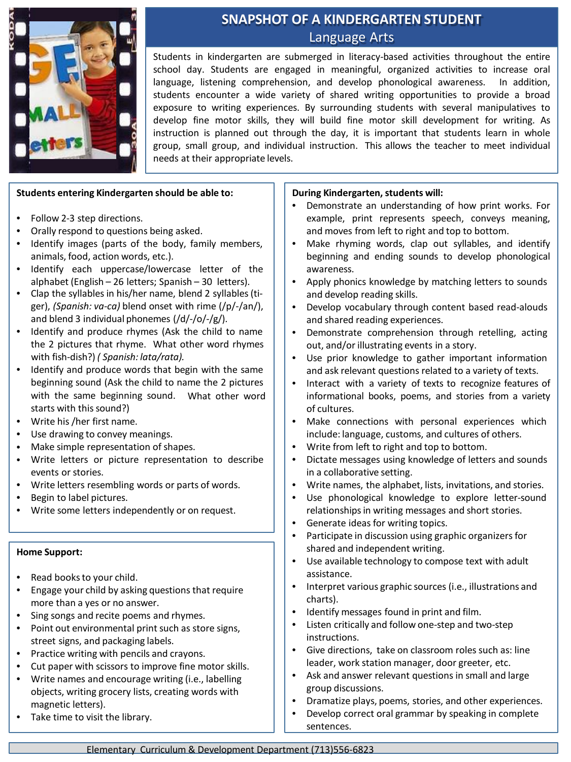

# **SNAPSHOT OF A KINDERGARTEN STUDENT** Language Arts

Students in kindergarten are submerged in literacy-based activities throughout the entire school day. Students are engaged in meaningful, organized activities to increase oral language, listening comprehension, and develop phonological awareness. In addition, students encounter a wide variety of shared writing opportunities to provide a broad exposure to writing experiences. By surrounding students with several manipulatives to develop fine motor skills, they will build fine motor skill development for writing. As instruction is planned out through the day, it is important that students learn in whole group, small group, and individual instruction. This allows the teacher to meet individual needs at their appropriate levels.

## **Students entering Kindergarten should be able to:**

- Follow 2-3 step directions.
- Orally respond to questions being asked.
- Identify images (parts of the body, family members, animals, food, action words, etc.).
- Identify each uppercase/lowercase letter of the alphabet (English – 26 letters; Spanish – 30 letters).
- Clap the syllables in his/her name, blend 2 syllables(tiger), *(Spanish: va-ca)* blend onset with rime (/p/-/an/), and blend 3 individual phonemes (/d/-/o/-/g/).
- Identify and produce rhymes (Ask the child to name the 2 pictures that rhyme. What other word rhymes with fish-dish?) *( Spanish: lata/rata).*
- Identify and produce words that begin with the same beginning sound (Ask the child to name the 2 pictures with the same beginning sound. What other word starts with this sound?)
- Write his /her first name.
- Use drawing to convey meanings.
- Make simple representation of shapes.
- Write letters or picture representation to describe events or stories.
- Write letters resembling words or parts of words.
- Begin to label pictures.
- Write some letters independently or on request.

#### **Home Support:**

- Read books to your child.
- Engage your child by asking questions that require more than a yes or no answer.
- Sing songs and recite poems and rhymes.
- Point out environmental print such as store signs, street signs, and packaging labels.
- Practice writing with pencils and crayons.
- Cut paper with scissors to improve fine motor skills.
- Write names and encourage writing (i.e., labelling objects, writing grocery lists, creating words with magnetic letters).
- Take time to visit the library.

#### **During Kindergarten, students will:**

- Demonstrate an understanding of how print works. For example, print represents speech, conveys meaning, and moves from left to right and top to bottom.
- Make rhyming words, clap out syllables, and identify beginning and ending sounds to develop phonological awareness.
- Apply phonics knowledge by matching letters to sounds and develop reading skills.
- Develop vocabulary through content based read-alouds and shared reading experiences.
- Demonstrate comprehension through retelling, acting out, and/or illustrating events in a story.
- Use prior knowledge to gather important information and ask relevant questions related to a variety of texts.
- Interact with a variety of texts to recognize features of informational books, poems, and stories from a variety of cultures.
- Make connections with personal experiences which include: language, customs, and cultures of others.
- Write from left to right and top to bottom.
- Dictate messages using knowledge of letters and sounds in a collaborative setting.
- Write names, the alphabet, lists, invitations, and stories.
- Use phonological knowledge to explore letter-sound relationships in writing messages and short stories.
- Generate ideas for writing topics.
- Participate in discussion using graphic organizers for shared and independent writing.
- Use available technology to compose text with adult assistance.
- Interpret various graphic sources (i.e., illustrations and charts).
- Identify messages found in print and film.
- Listen critically and follow one-step and two-step instructions.
- Give directions, take on classroom roles such as: line leader, work station manager, door greeter, etc.
- Ask and answer relevant questions in small and large group discussions.
- Dramatize plays, poems, stories, and other experiences.
- Develop correct oral grammar by speaking in complete sentences.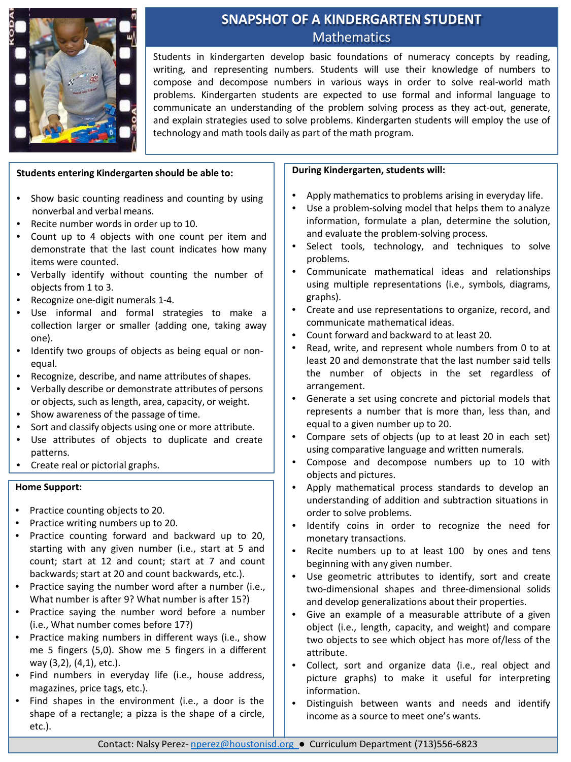

# **SNAPSHOT OF A KINDERGARTEN STUDENT Mathematics**

Students in kindergarten develop basic foundations of numeracy concepts by reading, writing, and representing numbers. Students will use their knowledge of numbers to compose and decompose numbers in various ways in order to solve real-world math problems. Kindergarten students are expected to use formal and informal language to communicate an understanding of the problem solving process as they act-out, generate, and explain strategies used to solve problems. Kindergarten students will employ the use of technology and math tools daily as part of the math program.

## **Students entering Kindergarten should be able to:**

- Show basic counting readiness and counting by using nonverbal and verbal means.
- Recite number words in order up to 10.
- Count up to 4 objects with one count per item and demonstrate that the last count indicates how many items were counted.
- Verbally identify without counting the number of objects from 1 to 3.
- Recognize one-digit numerals 1-4.
- Use informal and formal strategies to make a collection larger or smaller (adding one, taking away one).
- Identify two groups of objects as being equal or nonequal.
- Recognize, describe, and name attributes of shapes.
- Verbally describe or demonstrate attributes of persons or objects, such as length, area, capacity, or weight.
- Show awareness of the passage of time.
- Sort and classify objects using one or more attribute.
- Use attributes of objects to duplicate and create patterns.
- Create real or pictorial graphs.

### **Home Support:**

- Practice counting objects to 20.
- Practice writing numbers up to 20.
- Practice counting forward and backward up to 20, starting with any given number (i.e., start at 5 and count; start at 12 and count; start at 7 and count backwards; start at 20 and count backwards, etc.).
- Practice saying the number word after a number (i.e., What number is after 9? What number is after 15?)
- Practice saying the number word before a number (i.e., What number comes before 17?)
- Practice making numbers in different ways (i.e., show me 5 fingers (5,0). Show me 5 fingers in a different way (3,2), (4,1), etc.).
- Find numbers in everyday life (i.e., house address, magazines, price tags, etc.).
- Find shapes in the environment (i.e., a door is the shape of a rectangle; a pizza is the shape of a circle, etc.).

### **During Kindergarten, students will:**

- Apply mathematics to problems arising in everyday life.
- Use a problem-solving model that helps them to analyze information, formulate a plan, determine the solution, and evaluate the problem-solving process.
- Select tools, technology, and techniques to solve problems.
- Communicate mathematical ideas and relationships using multiple representations (i.e., symbols, diagrams, graphs).
- Create and use representations to organize, record, and communicate mathematical ideas.
- Count forward and backward to at least 20.
- Read, write, and represent whole numbers from 0 to at least 20 and demonstrate that the last number said tells the number of objects in the set regardless of arrangement.
- Generate a set using concrete and pictorial models that represents a number that is more than, less than, and equal to a given number up to 20.
- Compare sets of objects (up to at least 20 in each set) using comparative language and written numerals.
- Compose and decompose numbers up to 10 with objects and pictures.
- Apply mathematical process standards to develop an understanding of addition and subtraction situations in order to solve problems.
- Identify coins in order to recognize the need for monetary transactions.
- Recite numbers up to at least 100 by ones and tens beginning with any given number.
- Use geometric attributes to identify, sort and create two-dimensional shapes and three-dimensional solids and develop generalizations about their properties.
- Give an example of a measurable attribute of a given object (i.e., length, capacity, and weight) and compare two objects to see which object has more of/less of the attribute.
- Collect, sort and organize data (i.e., real object and picture graphs) to make it useful for interpreting information.
- Distinguish between wants and needs and identify income as a source to meet one's wants.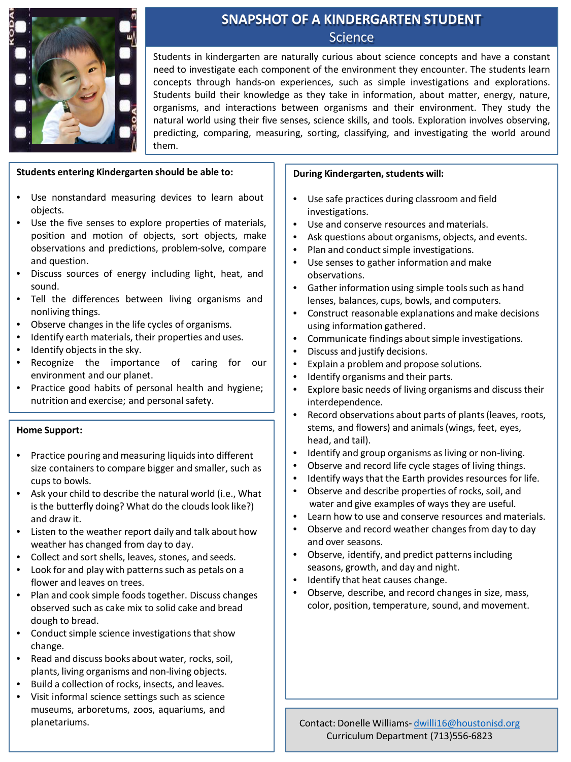

## **SNAPSHOT OF A KINDERGARTEN STUDENT Science**

Students in kindergarten are naturally curious about science concepts and have a constant need to investigate each component of the environment they encounter. The students learn concepts through hands-on experiences, such as simple investigations and explorations. Students build their knowledge as they take in information, about matter, energy, nature, organisms, and interactions between organisms and their environment. They study the natural world using their five senses, science skills, and tools. Exploration involves observing, predicting, comparing, measuring, sorting, classifying, and investigating the world around them.

### **Students entering Kindergarten should be able to:**

- Use nonstandard measuring devices to learn about objects.
- Use the five senses to explore properties of materials, position and motion of objects, sort objects, make observations and predictions, problem-solve, compare and question.
- Discuss sources of energy including light, heat, and sound.
- Tell the differences between living organisms and nonliving things.
- Observe changes in the life cycles of organisms.
- Identify earth materials, their properties and uses.
- Identify objects in the sky.
- Recognize the importance of caring for our environment and our planet.
- Practice good habits of personal health and hygiene; nutrition and exercise; and personal safety.

## **Home Support:**

- Practice pouring and measuring liquids into different size containers to compare bigger and smaller, such as cups to bowls.
- Ask your child to describe the natural world (i.e., What is the butterfly doing? What do the clouds look like?) and draw it.
- Listen to the weather report daily and talk about how weather has changed from day to day.
- Collect and sort shells, leaves, stones, and seeds.
- Look for and play with patterns such as petals on a flower and leaves on trees.
- Plan and cook simple foods together. Discuss changes observed such as cake mix to solid cake and bread dough to bread.
- Conduct simple science investigations that show change.
- Read and discuss books about water, rocks, soil, plants, living organisms and non-living objects.
- Build a collection of rocks, insects, and leaves.
- Visit informal science settings such as science museums, arboretums, zoos, aquariums, and

## **During Kindergarten, students will:**

- Use safe practices during classroom and field investigations.
- Use and conserve resources and materials.
- Ask questions about organisms, objects, and events.
- Plan and conduct simple investigations.
- Use senses to gather information and make observations.
- Gather information using simple tools such as hand lenses, balances, cups, bowls, and computers.
- Construct reasonable explanations and make decisions using information gathered.
- Communicate findings about simple investigations.
- Discuss and justify decisions.
- Explain a problem and propose solutions.
- Identify organisms and their parts.
- Explore basic needs of living organisms and discuss their interdependence.
- Record observations about parts of plants(leaves, roots, stems, and flowers) and animals(wings, feet, eyes, head, and tail).
- Identify and group organisms as living or non-living.
- Observe and record life cycle stages of living things.
- Identify ways that the Earth provides resources for life.
- Observe and describe properties of rocks, soil, and water and give examples of ways they are useful.
- Learn how to use and conserve resources and materials.
- Observe and record weather changes from day to day and over seasons.
- Observe, identify, and predict patterns including seasons, growth, and day and night.
- Identify that heat causes change.
- Observe, describe, and record changes in size, mass, color, position, temperature, sound, and movement.

planetariums. Contact: Donelle Williams- dwilli16[@houstonisd.org](mailto:tphillip@houstonisd.org) Curriculum Department (713)556-6823